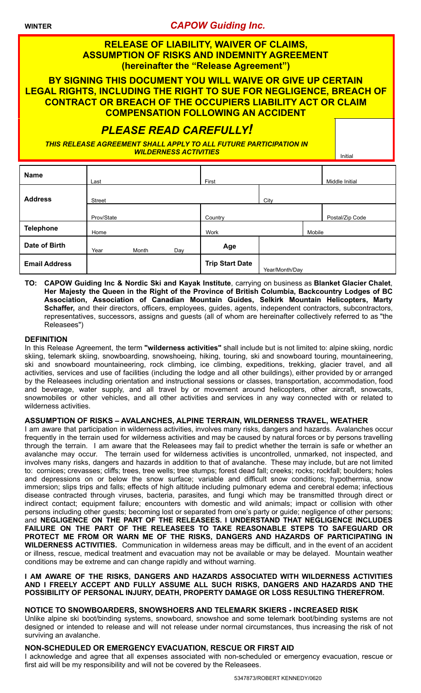**WINTER** *CAPOW Guiding Inc.*

### **RELEASE OF LIABILITY, WAIVER OF CLAIMS, ASSUMPTION OF RISKS AND INDEMNITY AGREEMENT (hereinafter the "Release Agreement")**

**BY SIGNING THIS DOCUMENT YOU WILL WAIVE OR GIVE UP CERTAIN LEGAL RIGHTS, INCLUDING THE RIGHT TO SUE FOR NEGLIGENCE, BREACH OF CONTRACT OR BREACH OF THE OCCUPIERS LIABILITY ACT OR CLAIM COMPENSATION FOLLOWING AN ACCIDENT**

## *PLEASE READ CAREFULLY!*

*THIS RELEASE AGREEMENT SHALL APPLY TO ALL FUTURE PARTICIPATION IN WILDERNESS ACTIVITIES* **Initial Activity of Activity Activity Initial** 

| <b>Name</b>          | Last          |       |     | First                  |                |        | Middle Initial  |
|----------------------|---------------|-------|-----|------------------------|----------------|--------|-----------------|
| <b>Address</b>       | <b>Street</b> |       |     |                        | City           |        |                 |
|                      | Prov/State    |       |     | Country                |                |        | Postal/Zip Code |
| <b>Telephone</b>     | Home          |       |     | Work                   |                | Mobile |                 |
| Date of Birth        | Year          | Month | Day | Age                    |                |        |                 |
| <b>Email Address</b> |               |       |     | <b>Trip Start Date</b> | Year/Month/Day |        |                 |

**TO: CAPOW Guiding Inc & Nordic Ski and Kayak Institute**, carrying on business as **Blanket Glacier Chalet**, **Her Majesty the Queen in the Right of the Province of British Columbia, Backcountry Lodges of BC Association, Association of Canadian Mountain Guides, Selkirk Mountain Helicopters, Marty Schaffer,** and their directors, officers, employees, guides, agents, independent contractors, subcontractors, representatives, successors, assigns and guests (all of whom are hereinafter collectively referred to as "the Releasees")

#### **DEFINITION**

In this Release Agreement, the term **"wilderness activities"** shall include but is not limited to: alpine skiing, nordic skiing, telemark skiing, snowboarding, snowshoeing, hiking, touring, ski and snowboard touring, mountaineering, ski and snowboard mountaineering, rock climbing, ice climbing, expeditions, trekking, glacier travel, and all activities, services and use of facilities (including the lodge and all other buildings), either provided by or arranged by the Releasees including orientation and instructional sessions or classes, transportation, accommodation, food and beverage, water supply, and all travel by or movement around helicopters, other aircraft, snowcats, snowmobiles or other vehicles, and all other activities and services in any way connected with or related to wilderness activities.

#### **ASSUMPTION OF RISKS – AVALANCHES, ALPINE TERRAIN, WILDERNESS TRAVEL, WEATHER**

I am aware that participation in wilderness activities, involves many risks, dangers and hazards. Avalanches occur frequently in the terrain used for wilderness activities and may be caused by natural forces or by persons travelling through the terrain. I am aware that the Releasees may fail to predict whether the terrain is safe or whether an avalanche may occur. The terrain used for wilderness activities is uncontrolled, unmarked, not inspected, and involves many risks, dangers and hazards in addition to that of avalanche. These may include, but are not limited to: cornices; crevasses; cliffs; trees, tree wells; tree stumps; forest dead fall; creeks; rocks; rockfall; boulders; holes and depressions on or below the snow surface; variable and difficult snow conditions; hypothermia, snow immersion; slips trips and falls; effects of high altitude including pulmonary edema and cerebral edema; infectious disease contracted through viruses, bacteria, parasites, and fungi which may be transmitted through direct or indirect contact; equipment failure; encounters with domestic and wild animals; impact or collision with other persons including other guests; becoming lost or separated from one's party or guide; negligence of other persons; and **NEGLIGENCE ON THE PART OF THE RELEASEES. I UNDERSTAND THAT NEGLIGENCE INCLUDES FAILURE ON THE PART OF THE RELEASEES TO TAKE REASONABLE STEPS TO SAFEGUARD OR PROTECT ME FROM OR WARN ME OF THE RISKS, DANGERS AND HAZARDS OF PARTICIPATING IN WILDERNESS ACTIVITIES.** Communication in wilderness areas may be difficult, and in the event of an accident or illness, rescue, medical treatment and evacuation may not be available or may be delayed. Mountain weather conditions may be extreme and can change rapidly and without warning.

#### **I AM AWARE OF THE RISKS, DANGERS AND HAZARDS ASSOCIATED WITH WILDERNESS ACTIVITIES AND I FREELY ACCEPT AND FULLY ASSUME ALL SUCH RISKS, DANGERS AND HAZARDS AND THE POSSIBILITY OF PERSONAL INJURY, DEATH, PROPERTY DAMAGE OR LOSS RESULTING THEREFROM.**

#### **NOTICE TO SNOWBOARDERS, SNOWSHOERS AND TELEMARK SKIERS - INCREASED RISK**

Unlike alpine ski boot/binding systems, snowboard, snowshoe and some telemark boot/binding systems are not designed or intended to release and will not release under normal circumstances, thus increasing the risk of not surviving an avalanche.

#### **NON-SCHEDULED OR EMERGENCY EVACUATION, RESCUE OR FIRST AID**

I acknowledge and agree that all expenses associated with non-scheduled or emergency evacuation, rescue or first aid will be my responsibility and will not be covered by the Releasees.